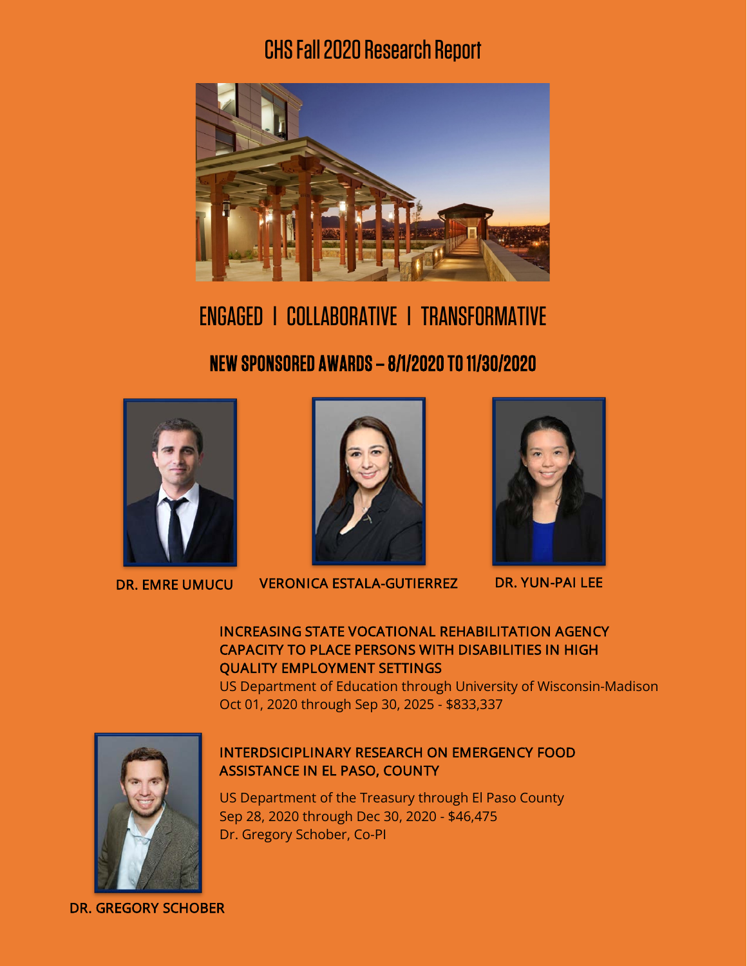## CHS Fall2020Research Report



# ENGAGED l COLLABORATIVE l TRANSFORMATIVE

### NEW SPONSORED AWARDS – 8/1/2020 TO 11/30/2020





DR. EMRE UMUCU VERONICA ESTALA-GUTIERREZ DR. YUN-PAI LEE



#### INCREASING STATE VOCATIONAL REHABILITATION AGENCY CAPACITY TO PLACE PERSONS WITH DISABILITIES IN HIGH QUALITY EMPLOYMENT SETTINGS

US Department of Education through University of Wisconsin-Madison Oct 01, 2020 through Sep 30, 2025 - \$833,337



#### INTERDSICIPLINARY RESEARCH ON EMERGENCY FOOD ASSISTANCE IN EL PASO, COUNTY

US Department of the Treasury through El Paso County Sep 28, 2020 through Dec 30, 2020 - \$46,475 Dr. Gregory Schober, Co-PI

DR. GREGORY SCHOBER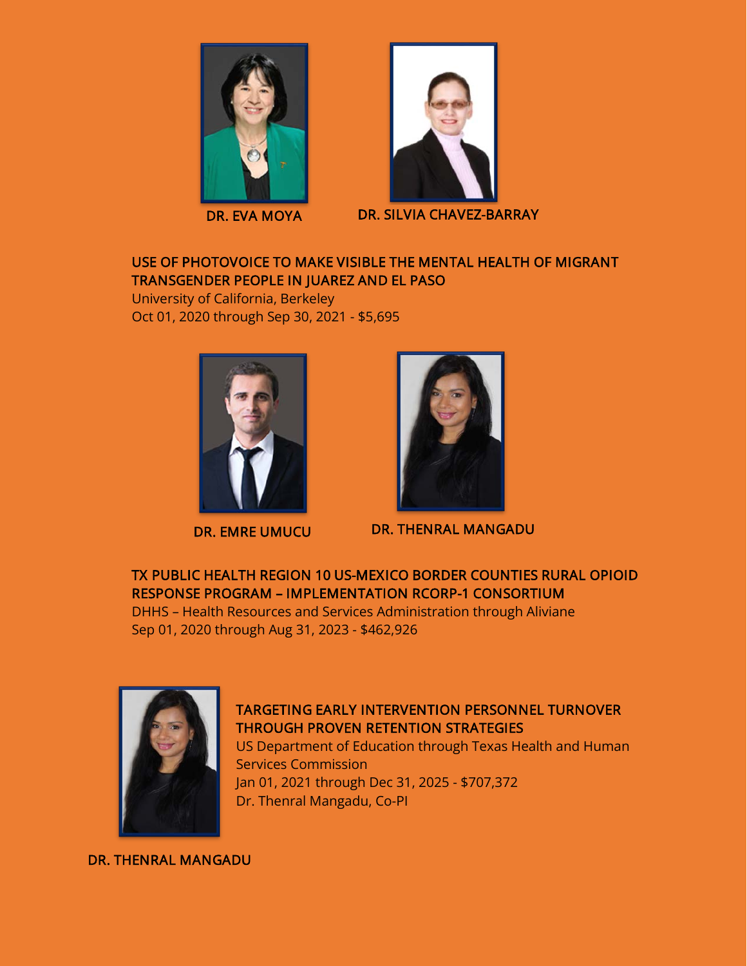

DR. EVA MOYA



DR. SILVIA CHAVEZ-BARRAY

#### USE OF PHOTOVOICE TO MAKE VISIBLE THE MENTAL HEALTH OF MIGRANT TRANSGENDER PEOPLE IN JUAREZ AND EL PASO

University of California, Berkeley Oct 01, 2020 through Sep 30, 2021 - \$5,695





DR. EMRE UMUCU DR. THENRAL MANGADU

TX PUBLIC HEALTH REGION 10 US-MEXICO BORDER COUNTIES RURAL OPIOID RESPONSE PROGRAM – IMPLEMENTATION RCORP-1 CONSORTIUM

DHHS – Health Resources and Services Administration through Aliviane Sep 01, 2020 through Aug 31, 2023 - \$462,926



#### TARGETING EARLY INTERVENTION PERSONNEL TURNOVER THROUGH PROVEN RETENTION STRATEGIES

US Department of Education through Texas Health and Human Services Commission Jan 01, 2021 through Dec 31, 2025 - \$707,372 Dr. Thenral Mangadu, Co-PI

DR. THENRAL MANGADU